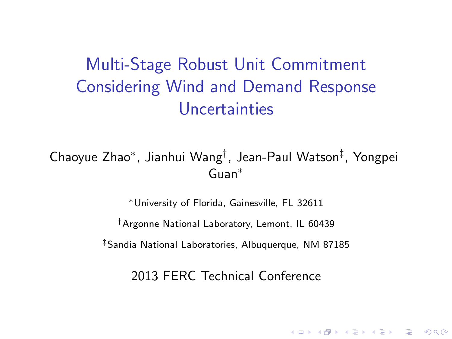# Multi-Stage Robust Unit Commitment Considering Wind and Demand Response Uncertainties

Chaoyue Zhao<sup>∗</sup> , Jianhui Wang† , Jean-Paul Watson‡ , Yongpei Guan<sup>∗</sup>

> <sup>∗</sup>University of Florida, Gainesville, FL 32611 †Argonne National Laboratory, Lemont, IL 60439 ‡Sandia National Laboratories, Albuquerque, NM 87185

> > 2013 FERC Technical Conference

**KORK (FRAGE) EL POLO**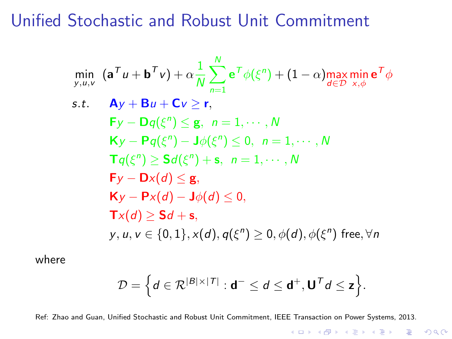Unified Stochastic and Robust Unit Commitment

$$
\min_{y,u,v} (\mathbf{a}^T u + \mathbf{b}^T v) + \alpha \frac{1}{N} \sum_{n=1}^N \mathbf{e}^T \phi(\xi^n) + (1 - \alpha) \max_{d \in \mathcal{D}} \min_{x,\phi} \mathbf{e}^T \phi
$$
\n
$$
\text{s.t.} \quad \mathbf{A}y + \mathbf{B}u + \mathbf{C}v \ge \mathbf{r},
$$
\n
$$
\mathbf{F}y - \mathbf{D}q(\xi^n) \le \mathbf{g}, \quad n = 1, \cdots, N
$$
\n
$$
\mathbf{K}y - \mathbf{P}q(\xi^n) - \mathbf{J}\phi(\xi^n) \le 0, \quad n = 1, \cdots, N
$$
\n
$$
\mathbf{T}q(\xi^n) \ge \mathbf{S}d(\xi^n) + \mathbf{s}, \quad n = 1, \cdots, N
$$
\n
$$
\mathbf{F}y - \mathbf{D}x(d) \le \mathbf{g},
$$
\n
$$
\mathbf{K}y - \mathbf{P}x(d) - \mathbf{J}\phi(d) \le 0,
$$
\n
$$
\mathbf{T}x(d) \ge \mathbf{S}d + \mathbf{s},
$$
\n
$$
y, u, v \in \{0, 1\}, x(d), q(\xi^n) \ge 0, \phi(d), \phi(\xi^n) \text{ free}, \forall n
$$

where

$$
\mathcal{D} = \Big\{ d \in \mathcal{R}^{|B| \times |\mathcal{T}|} : d^- \leq d \leq d^+, U^T d \leq z \Big\}.
$$

Ref: Zhao and Guan, Unified Stochastic and Robust Unit Commitment, IEEE Transaction on Power Systems, 2013.

K ロ ▶ K @ ▶ K 할 > K 할 > 1 할 > 1 이익어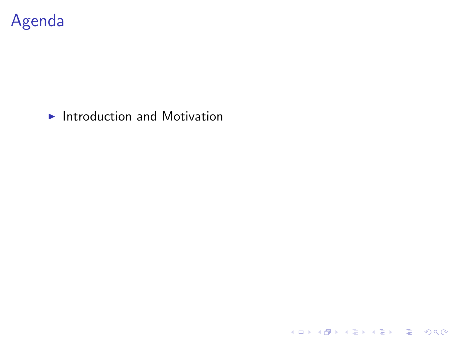

#### $\blacktriangleright$  Introduction and Motivation

KOX KOX KEX KEX E 1990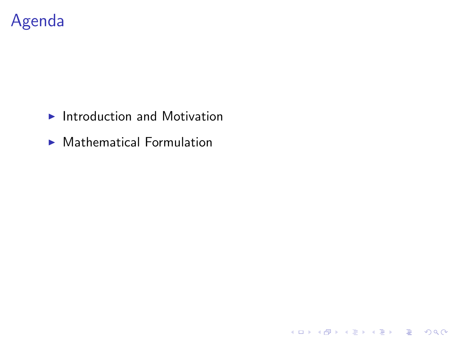

- $\blacktriangleright$  Introduction and Motivation
- $\blacktriangleright$  Mathematical Formulation

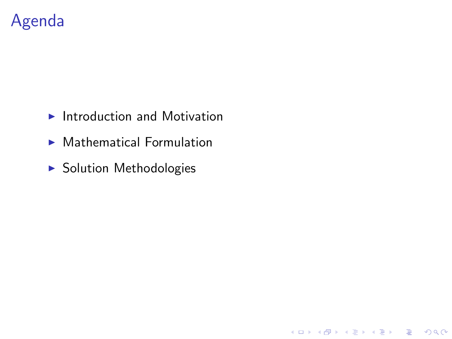## Agenda

- $\blacktriangleright$  Introduction and Motivation
- $\blacktriangleright$  Mathematical Formulation

K ロ K K (P) K (E) K (E) X (E) X (P) K (P)

**> Solution Methodologies**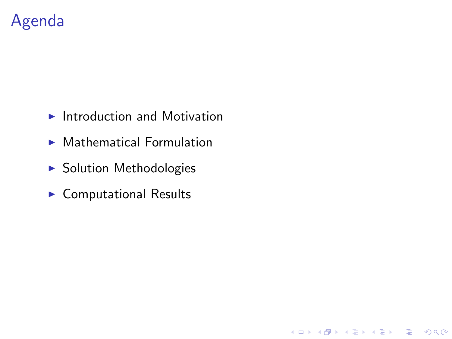## Agenda

- $\blacktriangleright$  Introduction and Motivation
- $\blacktriangleright$  Mathematical Formulation

**K ロ ▶ K @ ▶ K 할 X X 할 X 및 할 X X Q Q O** 

- $\blacktriangleright$  Solution Methodologies
- $\blacktriangleright$  Computational Results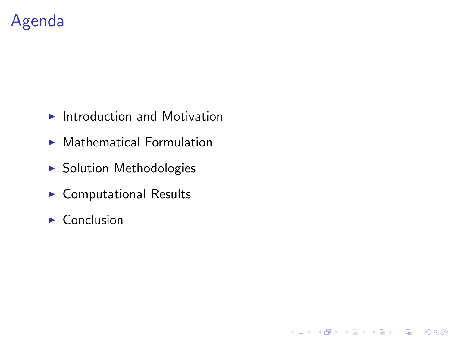## Agenda

- $\blacktriangleright$  Introduction and Motivation
- $\blacktriangleright$  Mathematical Formulation

**K ロ ▶ K @ ▶ K 할 X X 할 X 및 할 X X Q Q O** 

- $\blacktriangleright$  Solution Methodologies
- $\blacktriangleright$  Computational Results
- $\triangleright$  Conclusion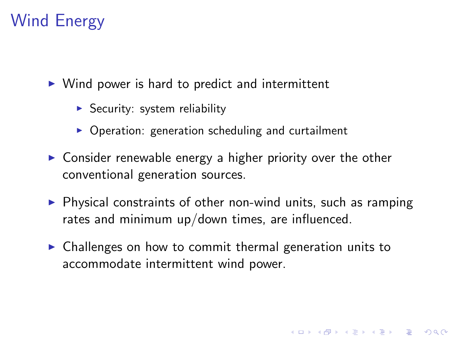# Wind Energy

 $\triangleright$  Wind power is hard to predict and intermittent

- $\triangleright$  Security: system reliability
- $\triangleright$  Operation: generation scheduling and curtailment
- $\triangleright$  Consider renewable energy a higher priority over the other conventional generation sources.
- $\triangleright$  Physical constraints of other non-wind units, such as ramping rates and minimum up/down times, are influenced.

**K ロ ▶ K @ ▶ K 할 X X 할 X 및 할 X X Q Q O** 

 $\triangleright$  Challenges on how to commit thermal generation units to accommodate intermittent wind power.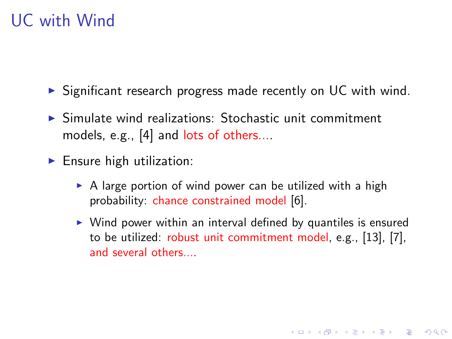## UC with Wind

- $\triangleright$  Significant research progress made recently on UC with wind.
- $\triangleright$  Simulate wind realizations: Stochastic unit commitment models, e.g., [\[4\]](#page-43-0) and lots of others....
- $\blacktriangleright$  Ensure high utilization:
	- $\triangleright$  A large portion of wind power can be utilized with a high probability: chance constrained model [\[6\]](#page-43-1).
	- $\triangleright$  Wind power within an interval defined by quantiles is ensured to be utilized: robust unit commitment model, e.g., [\[13\]](#page-44-0), [\[7\]](#page-43-2), and several others....

**KORK ERKER ADE YOUR**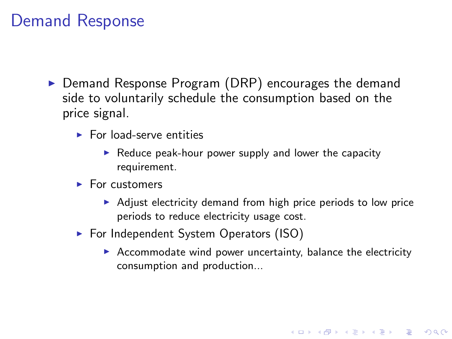### Demand Response

- $\triangleright$  Demand Response Program (DRP) encourages the demand side to voluntarily schedule the consumption based on the price signal.
	- $\blacktriangleright$  For load-serve entities
		- $\triangleright$  Reduce peak-hour power supply and lower the capacity requirement.
	- $\blacktriangleright$  For customers
		- $\triangleright$  Adjust electricity demand from high price periods to low price periods to reduce electricity usage cost.
	- $\triangleright$  For Independent System Operators (ISO)
		- $\triangleright$  Accommodate wind power uncertainty, balance the electricity consumption and production...

**KOD KARD KED KED E VOOR**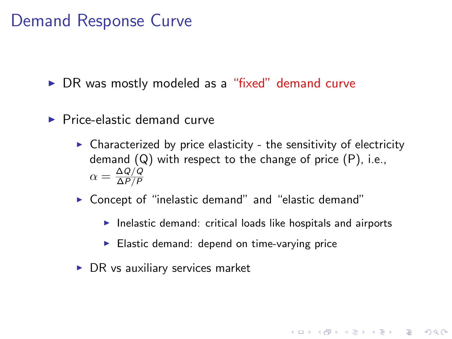### Demand Response Curve

 $\triangleright$  DR was mostly modeled as a "fixed" demand curve

- $\blacktriangleright$  Price-elastic demand curve
	- $\triangleright$  Characterized by price elasticity the sensitivity of electricity demand (Q) with respect to the change of price (P), i.e.,  $\alpha = \frac{\Delta Q/Q}{\Delta P/P}$ ∆P/P
	- $\triangleright$  Concept of "inelastic demand" and "elastic demand"
		- $\blacktriangleright$  Inelastic demand: critical loads like hospitals and airports

**KORK ERKER ADE YOUR** 

- $\blacktriangleright$  Elastic demand: depend on time-varying price
- $\triangleright$  DR vs auxiliary services market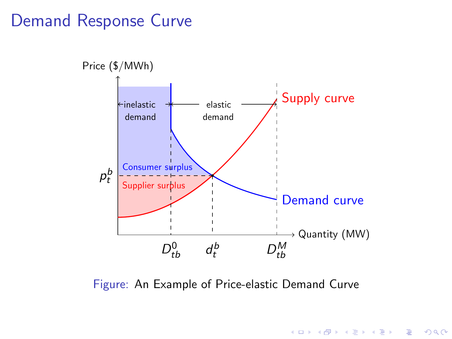#### Demand Response Curve



Figure: An Example of Price-elastic Demand Curve

K ロ ▶ K @ ▶ K 할 > K 할 > 1 할 > 1 이익어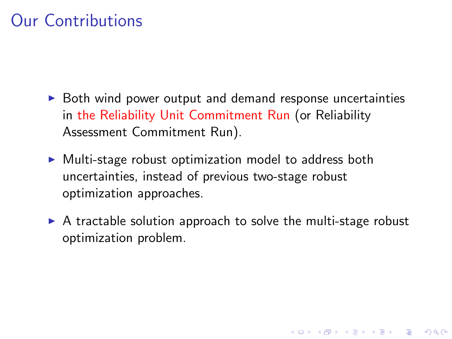# Our Contributions

- $\triangleright$  Both wind power output and demand response uncertainties in the Reliability Unit Commitment Run (or Reliability Assessment Commitment Run).
- $\triangleright$  Multi-stage robust optimization model to address both uncertainties, instead of previous two-stage robust optimization approaches.
- $\triangleright$  A tractable solution approach to solve the multi-stage robust optimization problem.

4 D > 4 P + 4 B + 4 B + B + 9 Q O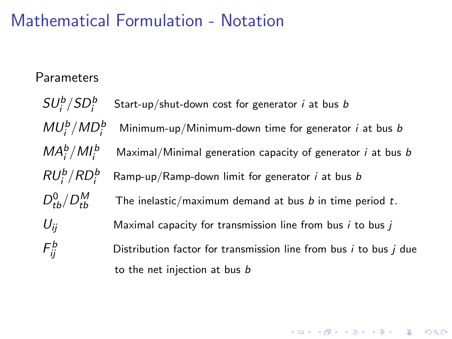### Mathematical Formulation - Notation

#### **Parameters**

 $SU_{i}^{b}/SD_{i}^{b}$ Start-up/shut-down cost for generator  $i$  at bus  $b$  $MU^b_i/MD^b_i$ Minimum-up/Minimum-down time for generator  $i$  at bus  $b$  $\textit{MA}_i^b/\textit{MI}_i^b$ Maximal/Minimal generation capacity of generator  $i$  at bus  $b$  $RU_i^b/RD_i^b$ Ramp-up/Ramp-down limit for generator  $i$  at bus  $b$  $D^0_{tb}/D^M_{tb}$ The inelastic/maximum demand at bus  $b$  in time period  $t$ .  $U_{ii}$  Maximal capacity for transmission line from bus *i* to bus *j*  $\mathsf{F}_{ii}^b$ Distribution factor for transmission line from bus  $i$  to bus  $j$  due to the net injection at bus b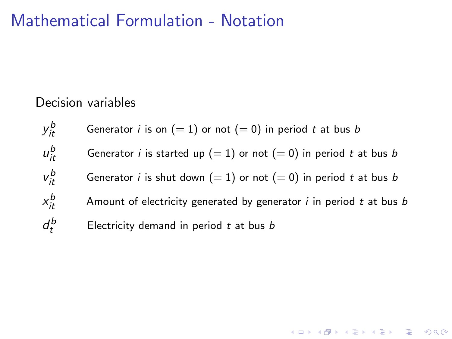### Mathematical Formulation - Notation

#### Decision variables

y b Generator *i* is on  $(= 1)$  or not  $(= 0)$  in period *t* at bus *b* u b Generator *i* is started up (= 1) or not (= 0) in period t at bus b  $v_{it}^b$ Generator *i* is shut down (= 1) or not (= 0) in period t at bus b  $x_{it}^b$ Amount of electricity generated by generator  $i$  in period  $t$  at bus  $b$  $d_t^b$ Electricity demand in period  $t$  at bus  $b$ 

**K ロ ▶ K @ ▶ K 할 X X 할 X 및 할 X X Q Q O**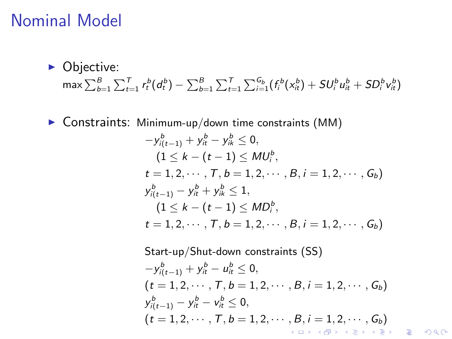#### Nominal Model

 $\triangleright$  Objective:  $\max\sum_{b=1}^B\sum_{t=1}^T r^b_t(d^b_t) - \sum_{b=1}^B\sum_{t=1}^T\sum_{i=1}^{G_b} (f^b_i(x_{it}^b) + SU^b_iu^b_{it} + SD^b_iv^b_{it})$ 

 $\triangleright$  Constraints: Minimum-up/down time constraints (MM)

$$
-y_{i(t-1)}^{b} + y_{it}^{b} - y_{ik}^{b} \le 0,
$$
  
\n
$$
(1 \le k - (t - 1) \le MU_{i}^{b},
$$
  
\n
$$
t = 1, 2, \dots, T, b = 1, 2, \dots, B, i = 1, 2, \dots, G_{b})
$$
  
\n
$$
y_{i(t-1)}^{b} - y_{it}^{b} + y_{ik}^{b} \le 1,
$$
  
\n
$$
(1 \le k - (t - 1) \le MD_{i}^{b},
$$
  
\n
$$
t = 1, 2, \dots, T, b = 1, 2, \dots, B, i = 1, 2, \dots, G_{b})
$$

Start-up/Shut-down constraints (SS)  $-y_{i(t-1)}^b + y_{it}^b - u_{it}^b \leq 0,$  $(t = 1, 2, \cdots, T, b = 1, 2, \cdots, B, i = 1, 2, \cdots, G_b)$  $y_{i(t-1)}^b - y_{it}^b - v_{it}^b \le 0,$  $(t = 1, 2, \cdots, T, b = 1, 2, \cdots, B, i = 1, 2, \cdots, G_b)$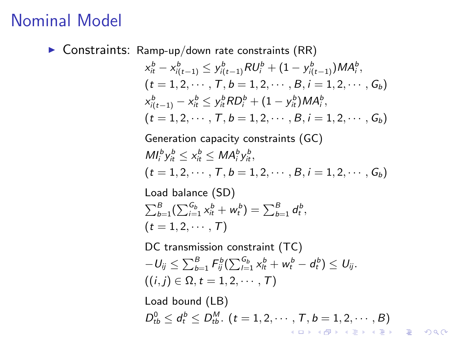### Nominal Model

 $\triangleright$  Constraints: Ramp-up/down rate constraints (RR)

$$
x_{it}^{b} - x_{i(t-1)}^{b} \leq y_{i(t-1)}^{b} RU_{i}^{b} + (1 - y_{i(t-1)}^{b})MA_{i}^{b},
$$
  
\n
$$
(t = 1, 2, \dots, T, b = 1, 2, \dots, B, i = 1, 2, \dots, G_{b})
$$
  
\n
$$
x_{i(t-1)}^{b} - x_{it}^{b} \leq y_{it}^{b}RD_{i}^{b} + (1 - y_{it}^{b})MA_{i}^{b},
$$
  
\n
$$
(t = 1, 2, \dots, T, b = 1, 2, \dots, B, i = 1, 2, \dots, G_{b})
$$
  
\nGeneration capacity constraints (GC)  
\n
$$
MI_{i}^{b} y_{it}^{b} \leq x_{it}^{b} \leq MA_{i}^{b} y_{it}^{b},
$$
  
\n
$$
(t = 1, 2, \dots, T, b = 1, 2, \dots, B, i = 1, 2, \dots, G_{b})
$$
  
\nLoad balance (SD)  
\n
$$
\sum_{b=1}^{B} (\sum_{i=1}^{G_{b}} x_{it}^{b} + w_{t}^{b}) = \sum_{b=1}^{B} d_{t}^{b},
$$
  
\n
$$
(t = 1, 2, \dots, T)
$$
  
\nDC transmission constraint (TC)  
\n
$$
-U_{ij} \leq \sum_{b=1}^{B} F_{ij}^{b} (\sum_{i=1}^{G_{b}} x_{it}^{b} + w_{t}^{b} - d_{t}^{b}) \leq U_{ij}.
$$
  
\n
$$
((i, j) \in \Omega, t = 1, 2, \dots, T)
$$
  
\nLoad bound (LB)  
\n
$$
D_{tb}^{0} \leq d_{t}^{b} \leq D_{tb}^{M}, (t = 1, 2, \dots, T, b = 1, 2, \dots, B)
$$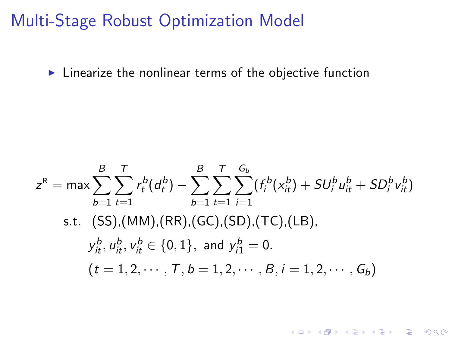Multi-Stage Robust Optimization Model

 $\blacktriangleright$  Linearize the nonlinear terms of the objective function

$$
z^{R} = \max \sum_{b=1}^{B} \sum_{t=1}^{T} r_{t}^{b}(d_{t}^{b}) - \sum_{b=1}^{B} \sum_{t=1}^{T} \sum_{i=1}^{G_{b}} (f_{i}^{b}(x_{it}^{b}) + SU_{i}^{b}u_{it}^{b} + SD_{i}^{b}v_{it}^{b})
$$
  
s.t. (SS), (MM), (RR), (GC), (SD), (TC), (LB),  

$$
y_{it}^{b}, u_{it}^{b}, v_{it}^{b} \in \{0, 1\}, \text{ and } y_{i1}^{b} = 0.
$$

$$
(t = 1, 2, \dots, T, b = 1, 2, \dots, B, i = 1, 2, \dots, G_{b})
$$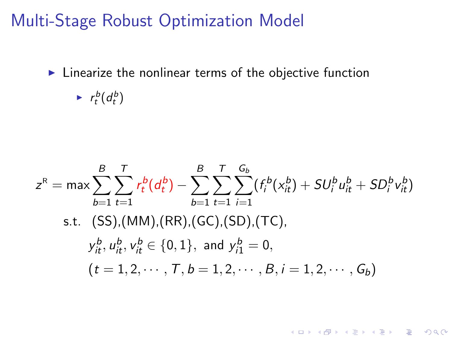Multi-Stage Robust Optimization Model

 $\blacktriangleright$  Linearize the nonlinear terms of the objective function

 $\blacktriangleright$   $r_t^b(d_t^b)$ 

$$
z^{R} = \max \sum_{b=1}^{B} \sum_{t=1}^{T} r_{t}^{b}(d_{t}^{b}) - \sum_{b=1}^{B} \sum_{t=1}^{T} \sum_{i=1}^{G_{b}} (f_{i}^{b}(x_{it}^{b}) + SU_{i}^{b}u_{it}^{b} + SD_{i}^{b}v_{it}^{b})
$$
  
s.t. (SS), (MM), (RR), (GC), (SD), (TC),  

$$
y_{it}^{b}, u_{it}^{b}, v_{it}^{b} \in \{0, 1\}, \text{ and } y_{i1}^{b} = 0,
$$

$$
(t = 1, 2, \dots, T, b = 1, 2, \dots, B, i = 1, 2, \dots, G_{b})
$$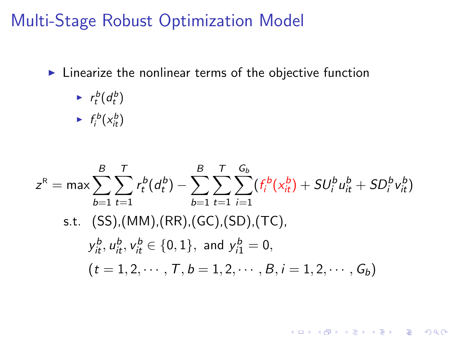#### Multi-Stage Robust Optimization Model

 $\blacktriangleright$  Linearize the nonlinear terms of the objective function

$$
\begin{array}{ll} & r_t^b(d_t^b) \\ \longmapsto & f_i^b(x_{it}^b) \end{array}
$$

$$
z^{R} = \max \sum_{b=1}^{B} \sum_{t=1}^{T} r_{t}^{b} (d_{t}^{b}) - \sum_{b=1}^{B} \sum_{t=1}^{T} \sum_{i=1}^{G_{b}} (f_{i}^{b}(x_{it}^{b}) + SU_{i}^{b} u_{it}^{b} + SD_{i}^{b} v_{it}^{b})
$$
  
s.t. (SS), (MM), (RR), (GC), (SD), (TC),  

$$
y_{it}^{b}, u_{it}^{b}, v_{it}^{b} \in \{0, 1\}, \text{ and } y_{i1}^{b} = 0,
$$

$$
(t = 1, 2, \dots, T, b = 1, 2, \dots, B, i = 1, 2, \dots, G_{b})
$$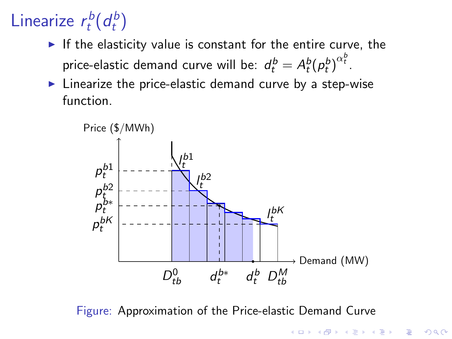#### Linearize  $r_t^b$  $\frac{d}{dt}$  $\int_{t}^{b}$  $\binom{b}{t}$

If the elasticity value is constant for the entire curve, the price-elastic demand curve will be:  $d_{t}^{b} = A_{t}^{b}({p_{t}^{b}})^{\alpha_{t}^{b}}.$ 

 $\blacktriangleright$  Linearize the price-elastic demand curve by a step-wise function.



Figure: Approximation of the Price-elastic Demand Curve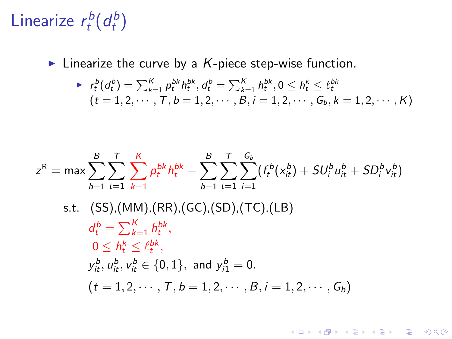#### Linearize  $r_t^b$  $\frac{d}{dt}$  $\int_{t}^{b}$  $\binom{b}{t}$

Inearize the curve by a  $K$ -piece step-wise function.

$$
\begin{array}{lll} & r_t^b(d_t^b) = \sum_{k=1}^K p_t^{bk} h_t^{bk}, d_t^b = \sum_{k=1}^K h_t^{bk}, 0 \leq h_t^k \leq \ell_t^{bk} \\ & (t = 1, 2, \cdots, T, b = 1, 2, \cdots, B, i = 1, 2, \cdots, G_b, k = 1, 2, \cdots, K) \end{array}
$$

K ロ ▶ K @ ▶ K 할 ▶ K 할 ▶ ... 할 ... 9 Q Q ·

$$
z^{R} = \max \sum_{b=1}^{B} \sum_{t=1}^{T} \sum_{k=1}^{K} p_{t}^{bk} h_{t}^{bk} - \sum_{b=1}^{B} \sum_{t=1}^{T} \sum_{i=1}^{G_{b}} (f_{t}^{b}(x_{it}^{b}) + SU_{i}^{b} u_{it}^{b} + SD_{i}^{b} v_{it}^{b})
$$

s.t. 
$$
(SS)
$$
, $(MM)$ , $(RR)$ , $(GC)$ , $(SD)$ , $(TC)$ , $(LB)$   
\n
$$
d_t^b = \sum_{k=1}^K h_t^{bk},
$$
\n
$$
0 \le h_t^k \le \ell_t^{bk},
$$
\n
$$
y_{it}^b, u_{it}^b, v_{it}^b \in \{0, 1\}, \text{ and } y_{i1}^b = 0.
$$
\n
$$
(t = 1, 2, \dots, T, b = 1, 2, \dots, B, i = 1, 2, \dots, G_b)
$$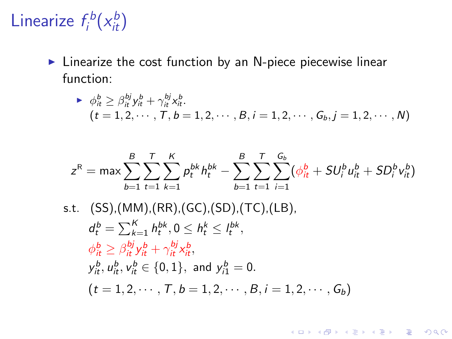#### Linearize  $f_i^b$  $i^{\text{cb}}(x_{it}^b)$

 $\blacktriangleright$  Linearize the cost function by an N-piece piecewise linear function:

• 
$$
\phi_{it}^{b} \geq \beta_{it}^{bj} y_{it}^{b} + \gamma_{it}^{bj} x_{it}^{b}
$$
.  
\n(*t* = 1, 2, ··· , *T*, *b* = 1, 2, ··· , *B*, *i* = 1, 2, ··· , *G*<sub>b</sub>, *j* = 1, 2, ··· , *N*)

$$
z^{R} = \max \sum_{b=1}^{B} \sum_{t=1}^{T} \sum_{k=1}^{K} p_{t}^{bk} h_{t}^{bk} - \sum_{b=1}^{B} \sum_{t=1}^{T} \sum_{i=1}^{G_{b}} (\phi_{it}^{b} + SU_{i}^{b} u_{it}^{b} + SD_{i}^{b} v_{it}^{b})
$$

K ロ ▶ K @ ▶ K 할 ▶ K 할 ▶ | 할 | ⊙Q @

s.t. (SS),(MM),(RR),(GC),(SD),(TC),(LB),  
\n
$$
d_t^b = \sum_{k=1}^K h_t^{bk}, 0 \le h_t^k \le l_t^{bk},
$$
\n
$$
\phi_{it}^b \ge \beta_{it}^{bj} y_{it}^b + \gamma_{it}^{bj} x_{it}^b,
$$
\n
$$
y_{it}^b, u_{it}^b, v_{it}^b \in \{0, 1\}, \text{ and } y_{i1}^b = 0.
$$
\n
$$
(t = 1, 2, \dots, T, b = 1, 2, \dots, B, i = 1, 2, \dots, G_b)
$$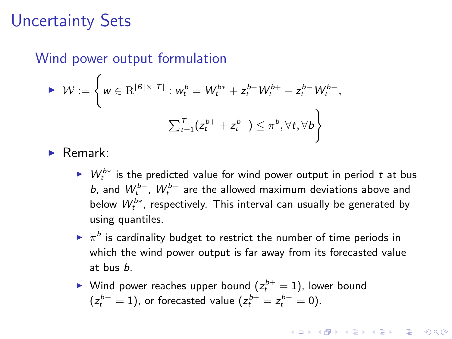#### Uncertainty Sets

#### Wind power output formulation

$$
\triangleright \mathcal{W} := \left\{ w \in \mathbb{R}^{|B| \times |T|} : w_t^b = W_t^{b*} + z_t^{b+} W_t^{b+} - z_t^{b-} W_t^{b-},
$$
  

$$
\sum_{t=1}^T (z_t^{b+} + z_t^{b-}) \le \pi^b, \forall t, \forall b \right\}
$$

 $\blacktriangleright$  Remark:

- ►  $W_t^{b*}$  is the predicted value for wind power output in period t at bus b, and  $W_t^{b+}$ ,  $W_t^{b-}$  are the allowed maximum deviations above and below  $W_t^{b*}$ , respectively. This interval can usually be generated by using quantiles.
- $\blacktriangleright$   $\pi^b$  is cardinality budget to restrict the number of time periods in which the wind power output is far away from its forecasted value at bus b.

**KORKAR KERKER E VOOR** 

 $\blacktriangleright$  Wind power reaches upper bound  $(z_t^{b+}=1)$ , lower bound  $(z_t^{b-}=1)$ , or forecasted value  $(z_t^{b+}=z_t^{b-}=0)$ .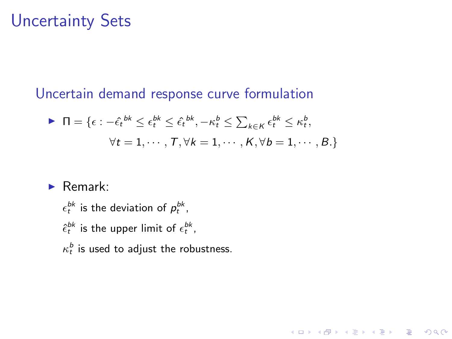#### Uncertainty Sets

Uncertain demand response curve formulation

$$
\triangleright \Pi = \{ \epsilon : -\hat{\epsilon}_t^{bk} \le \epsilon_t^{bk} \le \hat{\epsilon}_t^{bk}, -\kappa_t^b \le \sum_{k \in K} \epsilon_t^{bk} \le \kappa_t^b, \forall t = 1, \cdots, T, \forall k = 1, \cdots, K, \forall b = 1, \cdots, B. \}
$$

**K ロ ▶ K @ ▶ K 할 X X 할 X 및 할 X X Q Q O** 

 $\blacktriangleright$  Remark:

 $\epsilon_t^{bk}$  is the deviation of  $p_t^{bk}$ ,  $\hat{\epsilon}_t^{bk}$  is the upper limit of  $\epsilon_t^{bk}$ ,  $\kappa_t^b$  is used to adjust the robustness.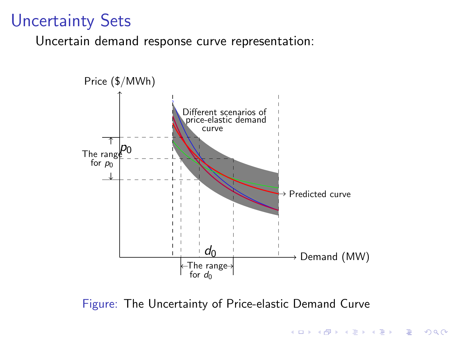### Uncertainty Sets

Uncertain demand response curve representation:



Figure: The Uncertainty of Price-elastic Demand Curve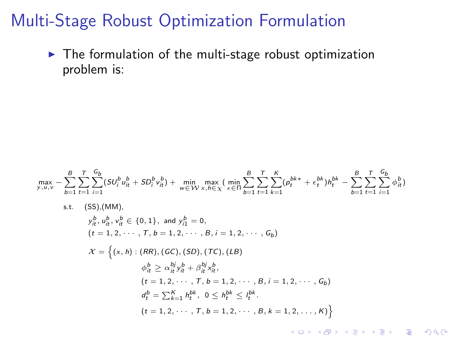$\blacktriangleright$  The formulation of the multi-stage robust optimization problem is:

$$
\max_{y, u, v} -\sum_{b=1}^{B} \sum_{t=1}^{T} \sum_{i=1}^{G_b} (3U_i^b u_h^b + 5D_i^b v_h^b) + \min_{w \in W} \max_{x, h \in X} (\min_{\epsilon \in \Pi} \sum_{b=1}^{B} \sum_{t=1}^{T} \sum_{k=1}^{K} (p_t^{bk} + \epsilon_t^{bk}) h_t^{bk} - \sum_{b=1}^{B} \sum_{t=1}^{T} \sum_{i=1}^{G_b} \phi_{it}^b)
$$
\n
$$
\text{s.t.} \quad \text{(SS),(MM)},
$$
\n
$$
y_h^b, y_h^b, y_h^b \in \{0, 1\}, \text{ and } y_1^b = 0,
$$
\n
$$
(t = 1, 2, \dots, T, b = 1, 2, \dots, B, i = 1, 2, \dots, G_b)
$$
\n
$$
\mathcal{X} = \left\{ (x, h) : (RR), (GC), (SD), (TC), (LB)
$$
\n
$$
\phi_h^b \ge \alpha_h^{bj} v_h^b + \beta_h^{bj} v_h^b,
$$
\n
$$
(t = 1, 2, \dots, T, b = 1, 2, \dots, B, i = 1, 2, \dots, G_b)
$$
\n
$$
d_t^b = \sum_{k=1}^{K} h_t^{bk}, \quad 0 \le h_t^{bk} \le h_t^{bk}.
$$
\n
$$
(t = 1, 2, \dots, T, b = 1, 2, \dots, B, k = 1, 2, \dots, K) \right\}
$$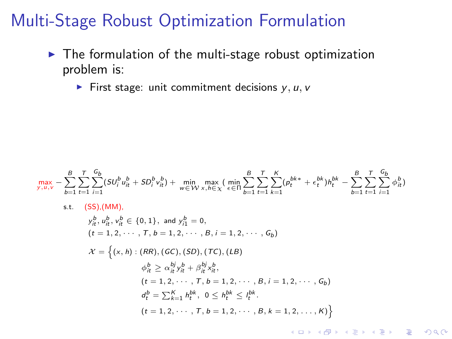- $\blacktriangleright$  The formulation of the multi-stage robust optimization problem is:
	- First stage: unit commitment decisions  $y, u, v$

$$
\max_{y, u, v} -\sum_{b=1}^{B} \sum_{t=1}^{T} \sum_{i=1}^{G_b} (SU_i^b u_h^b + SD_i^b v_h^b) + \min_{w \in W} \max_{x, h \in X} (\min_{\epsilon \in \Pi} \sum_{b=1}^{B} \sum_{t=1}^{T} \sum_{k=1}^{K} (p_t^{bk} + \epsilon_t^{bk}) h_t^{bk} - \sum_{b=1}^{B} \sum_{t=1}^{T} \sum_{i=1}^{G_b} \phi_h^b)
$$
\ns.t. (SS), (MM),  
\n
$$
y_h^b, y_h^b, y_h^b \in \{0, 1\}, \text{ and } y_1^b = 0,
$$
  
\n
$$
(t = 1, 2, \dots, T, b = 1, 2, \dots, B, i = 1, 2, \dots, G_b)
$$
  
\n
$$
\mathcal{X} = \left\{ (x, h) : (RR), (GC), (SD), (TC), (LB)
$$
  
\n
$$
\phi_h^b \ge \alpha_h^{kj} v_h^b + \beta_h^{kj} v_h^b,
$$
  
\n
$$
(t = 1, 2, \dots, T, b = 1, 2, \dots, B, i = 1, 2, \dots, G_b)
$$
  
\n
$$
d_t^b = \sum_{k=1}^{K} h_t^{bk}, 0 \le h_t^{bk} \le h_t^{bk}.
$$
  
\n
$$
(t = 1, 2, \dots, T, b = 1, 2, \dots, B, k = 1, 2, \dots, K)
$$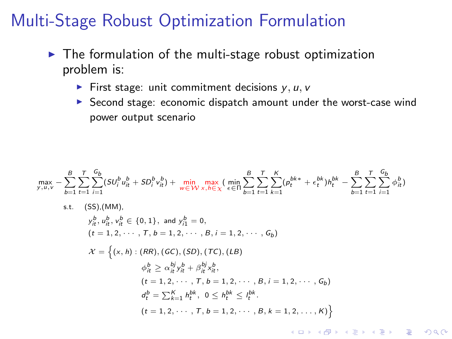- $\blacktriangleright$  The formulation of the multi-stage robust optimization problem is:
	- First stage: unit commitment decisions  $y, u, v$
	- $\triangleright$  Second stage: economic dispatch amount under the worst-case wind power output scenario

 $\frac{G_b}{\sum}$  $\frac{G_b}{\sum}$  $\max_{y, u, v} - \sum_{i=1}^{B}$  $\frac{1}{2}$  $\sum_{i=1}^{G_b} (SU_i^b u_{it}^b + SD_i^b v_{it}^b) + \min_{w \in W} \max_{x, h \in \chi} (\min_{\epsilon \in \Pi} \sum_{b=1}^B$  $\frac{1}{2}$  $\sum_{k=1}^K (p_t^{bk*} + \epsilon_t^{bk})h_t^{bk} - \sum_{b=1}^B$  $\sum_{k=1}^{k}$  $\frac{1}{2}$  $\sum_{i=1} \phi_{it}^b$  $_{b=1}$  $t=1$  $_{b=1}$  $t=1$  $_{b=1}$  $t=1$ s.t. (SS),(MM),  $y_{it}^b, u_{it}^b, v_{it}^b \in \{0, 1\}, \text{ and } y_{i1}^b = 0,$  $(t = 1, 2, \cdots, T, b = 1, 2, \cdots, B, i = 1, 2, \cdots, G_b)$  $\mathcal{X} = \{(x, h) : (RR), (GC), (SD), (TC), (LB)\}$  $\phi_{it}^b \geq \alpha_{it}^{bj} y_{it}^b + \beta_{it}^{bj} x_{it}^b,$  $(t = 1, 2, \cdots, T, b = 1, 2, \cdots, B, i = 1, 2, \cdots, G_b)$  $d_t^b = \sum_{k=1}^K h_t^{bk}, \ 0 \leq h_t^{bk} \leq l_t^{bk}.$  $(t = 1, 2, \cdots, T, b = 1, 2, \cdots, B, k = 1, 2, \ldots, K)$ **KORKARA KERKER SAGA**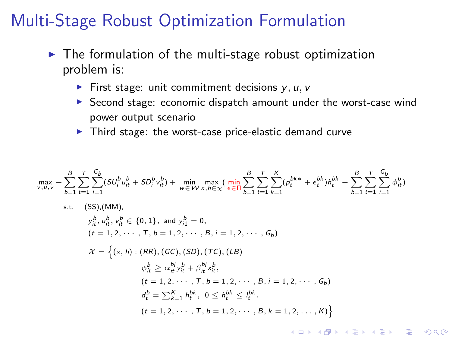- $\triangleright$  The formulation of the multi-stage robust optimization problem is:
	- First stage: unit commitment decisions  $y, u, v$
	- $\triangleright$  Second stage: economic dispatch amount under the worst-case wind power output scenario
	- $\blacktriangleright$  Third stage: the worst-case price-elastic demand curve

 $\max_{y, u, v} - \sum_{i=1}^{B}$  $_{b=1}$  $\frac{1}{2}$  $t=1$  $\frac{G_b}{\sum}$  $\sum_{i=1}^{G_b} (SU_i^b u_{it}^b + SD_i^b v_{it}^b) + \min_{w \in W} \max_{x, h \in \chi} \left( \min_{\epsilon \in \Pi} \sum_{b=1}^B \right)$  $_{b=1}$  $\frac{1}{2}$  $t=1$  $\sum_{k=1}^{k}$  $\sum_{k=1}^K (p_t^{bk*} + \epsilon_t^{bk})h_t^{bk} - \sum_{b=1}^B$  $_{b=1}$  $\frac{1}{2}$  $t=1$  $\frac{G_b}{\sum}$  $\sum_{i=1} \phi_{it}^b$ s.t. (SS),(MM),  $y_{it}^b, u_{it}^b, v_{it}^b \in \{0, 1\}, \text{ and } y_{i1}^b = 0,$  $(t = 1, 2, \cdots, T, b = 1, 2, \cdots, B, i = 1, 2, \cdots, G_b)$  $\mathcal{X} = \{(x, h) : (RR), (GC), (SD), (TC), (LB)\}$  $\phi_{it}^b \geq \alpha_{it}^{bj} y_{it}^b + \beta_{it}^{bj} x_{it}^b,$  $(t = 1, 2, \cdots, T, b = 1, 2, \cdots, B, i = 1, 2, \cdots, G_b)$  $d_t^b = \sum_{k=1}^K h_t^{bk}, \ 0 \leq h_t^{bk} \leq l_t^{bk}.$  $(t = 1, 2, \cdots, T, b = 1, 2, \cdots, B, k = 1, 2, \ldots, K)$ 

**KORKARA KERKER SAGA**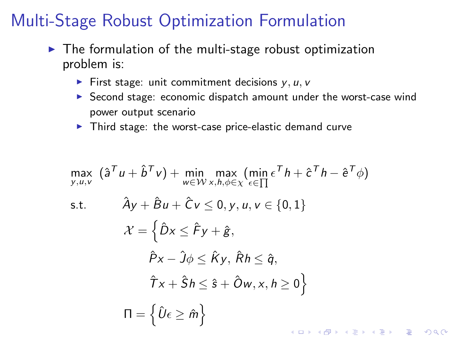- $\blacktriangleright$  The formulation of the multi-stage robust optimization problem is:
	- First stage: unit commitment decisions  $y, u, v$
	- $\triangleright$  Second stage: economic dispatch amount under the worst-case wind power output scenario
	- $\blacktriangleright$  Third stage: the worst-case price-elastic demand curve

$$
\max_{y, u, v} (\hat{a}^T u + \hat{b}^T v) + \min_{w \in W} \max_{x, h, \phi \in \chi} (\min_{\epsilon \in \prod} \epsilon^T h + \hat{c}^T h - \hat{e}^T \phi)
$$
\ns.t. 
$$
\hat{A}y + \hat{B}u + \hat{C}v \le 0, y, u, v \in \{0, 1\}
$$
\n
$$
\mathcal{X} = \left\{\hat{D}x \le \hat{F}y + \hat{g},
$$
\n
$$
\hat{P}x - \hat{J}\phi \le \hat{K}y, \hat{R}h \le \hat{q},
$$
\n
$$
\hat{T}x + \hat{S}h \le \hat{s} + \hat{O}w, x, h \ge 0\right\}
$$
\n
$$
\Pi = \left\{\hat{U}\epsilon \ge \hat{m}\right\}
$$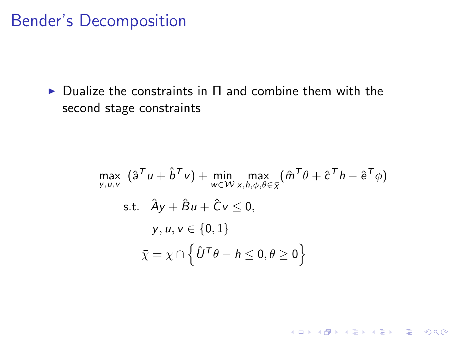#### Bender's Decomposition

 $\triangleright$  Dualize the constraints in  $\Pi$  and combine them with the second stage constraints

$$
\max_{y, u, v} (\hat{a}^T u + \hat{b}^T v) + \min_{w \in W} \max_{x, h, \phi, \theta \in \overline{\chi}} (\hat{m}^T \theta + \hat{c}^T h - \hat{e}^T \phi)
$$
  
s.t.  $\hat{A}y + \hat{B}u + \hat{C}v \le 0$ ,  
 $y, u, v \in \{0, 1\}$   
 $\overline{\chi} = \chi \cap \left\{\hat{U}^T \theta - h \le 0, \theta \ge 0\right\}$ 

K ロ K K (P) K (E) K (E) X (E) X (P) K (P)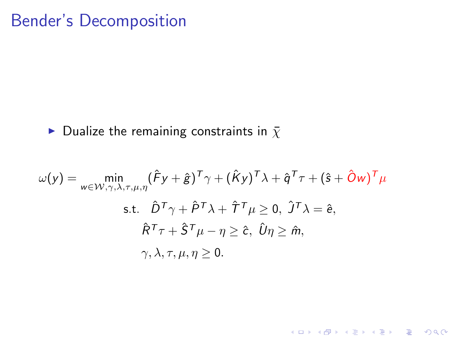### Bender's Decomposition

#### Dualize the remaining constraints in  $\bar{x}$

<span id="page-32-0"></span>
$$
\omega(y) = \min_{w \in \mathcal{W}, \gamma, \lambda, \tau, \mu, \eta} (\hat{F}y + \hat{g})^T \gamma + (\hat{K}y)^T \lambda + \hat{q}^T \tau + (\hat{s} + \hat{O}w)^T \mu
$$
  
s.t.  $\hat{D}^T \gamma + \hat{P}^T \lambda + \hat{T}^T \mu \ge 0$ ,  $\hat{J}^T \lambda = \hat{e}$ ,  
 $\hat{R}^T \tau + \hat{S}^T \mu - \eta \ge \hat{c}$ ,  $\hat{U} \eta \ge \hat{m}$ ,  
 $\gamma, \lambda, \tau, \mu, \eta \ge 0$ .

K ロ ▶ K @ ▶ K 할 ▶ K 할 ▶ | 할 | ⊙Q @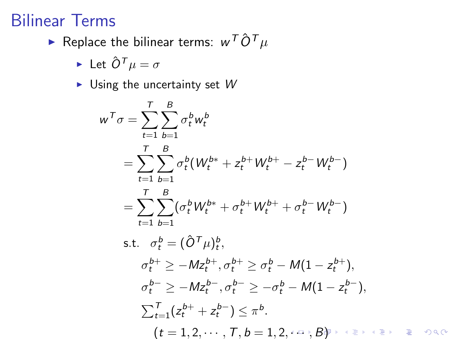### Bilinear Terms

 $\blacktriangleright$  Replace the bilinear terms:  $w^{\mathcal{T}} \hat{\mathcal{O}}^{\mathcal{T}} \mu$ 

$$
\blacktriangleright \hbox{ Let } \hat O^{\mathcal T} \mu = \sigma
$$

 $\blacktriangleright$  Using the uncertainty set  $W$ 

<span id="page-33-0"></span>
$$
w^T \sigma = \sum_{t=1}^T \sum_{b=1}^B \sigma_t^b w_t^b
$$
  
=  $\sum_{t=1}^T \sum_{b=1}^B \sigma_t^b (W_t^{b*} + z_t^{b+} W_t^{b+} - z_t^{b-} W_t^{b-})$   
=  $\sum_{t=1}^T \sum_{b=1}^B (\sigma_t^b W_t^{b*} + \sigma_t^{b+} W_t^{b+} + \sigma_t^{b-} W_t^{b-})$   
s.t.  $\sigma_t^b = (\hat{O}^T \mu)_t^b$ ,  
 $\sigma_t^{b+} \ge -M z_t^{b+}, \sigma_t^{b+} \ge \sigma_t^b - M(1 - z_t^{b+}),$   
 $\sigma_t^{b-} \ge -M z_t^{b-}, \sigma_t^{b-} \ge -\sigma_t^b - M(1 - z_t^{b-}),$   
 $\sum_{t=1}^T (z_t^{b+} + z_t^{b-}) \le \pi^b$ .  
 $(t = 1, 2, \dots, T, b = 1, 2, \dots, B)$ 

 $OQ$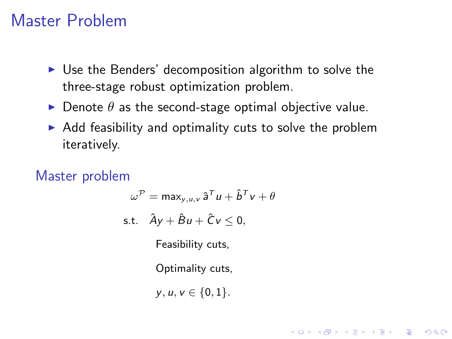#### Master Problem

- $\triangleright$  Use the Benders' decomposition algorithm to solve the three-stage robust optimization problem.
- $\triangleright$  Denote  $\theta$  as the second-stage optimal objective value.
- $\triangleright$  Add feasibility and optimality cuts to solve the problem iteratively.

<span id="page-34-0"></span>Master problem

$$
\omega^{\mathcal{P}} = \max_{y, u, v} \hat{a}^{\mathcal{T}} u + \hat{b}^{\mathcal{T}} v + \theta
$$
  
s.t.  $\hat{A}y + \hat{B}u + \hat{C}v \le 0$ ,  
Feasibility cuts,

Optimality cuts,

$$
y,u,v\in\{0,1\}.
$$

**KOD KARD KED KED E VOOR**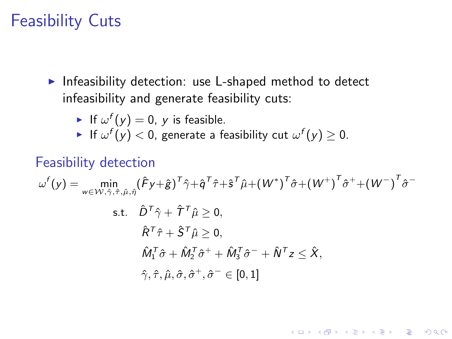#### Feasibility Cuts

- Infeasibility detection: use L-shaped method to detect infeasibility and generate feasibility cuts:
	- If  $\omega^f(y) = 0$ , y is feasible.
	- $\blacktriangleright$  If  $\omega^f(y) < 0$ , generate a feasibility cut  $\omega^f(y) \geq 0.$

#### Feasibility detection

$$
\omega^f(y) = \min_{w \in \mathcal{W}, \hat{\gamma}, \hat{\tau}, \hat{\mu}, \hat{\eta}} (\hat{F}y + \hat{g})^T \hat{\gamma} + \hat{q}^T \hat{\tau} + \hat{s}^T \hat{\mu} + (W^*)^T \hat{\sigma} + (W^*)^T \hat{\sigma}^+ + (W^-)^T \hat{\sigma}^-
$$
  
s.t.  $\hat{D}^T \hat{\gamma} + \hat{T}^T \hat{\mu} \ge 0$ ,  
 $\hat{R}^T \hat{\tau} + \hat{S}^T \hat{\mu} \ge 0$ ,  
 $\hat{M}_1^T \hat{\sigma} + \hat{M}_2^T \hat{\sigma}^+ + \hat{M}_3^T \hat{\sigma}^- + \hat{N}^T z \le \hat{X}$ ,  
 $\hat{\gamma}, \hat{\tau}, \hat{\mu}, \hat{\sigma}, \hat{\sigma}^+, \hat{\sigma}^- \in [0, 1]$ 

**KORK ERKER ADE YOUR**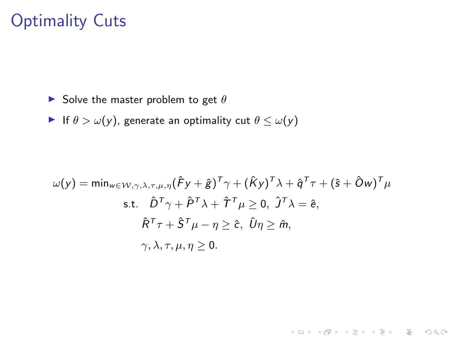### Optimality Cuts

- Solve the master problem to get  $\theta$
- If  $\theta > \omega(y)$ , generate an optimality cut  $\theta \leq \omega(y)$

$$
\omega(y) = \min_{w \in W, \gamma, \lambda, \tau, \mu, \eta} (\hat{F}y + \hat{g})^T \gamma + (\hat{K}y)^T \lambda + \hat{q}^T \tau + (\hat{s} + \hat{O}w)^T \mu
$$
  
s.t.  $\hat{D}^T \gamma + \hat{P}^T \lambda + \hat{T}^T \mu \ge 0, \ \hat{J}^T \lambda = \hat{e},$   
 $\hat{R}^T \tau + \hat{S}^T \mu - \eta \ge \hat{c}, \ \hat{U} \eta \ge \hat{m},$   
 $\gamma, \lambda, \tau, \mu, \eta \ge 0.$ 

K ロ ▶ K @ ▶ K 할 ▶ K 할 ▶ | 할 | © 9 Q @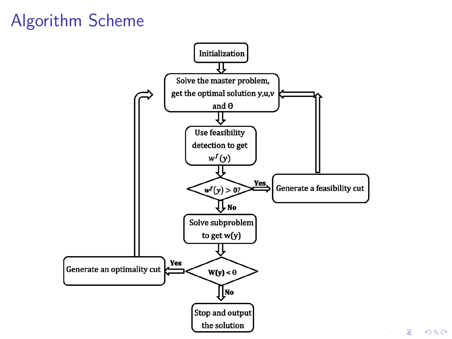# Algorithm Scheme



重  $-990$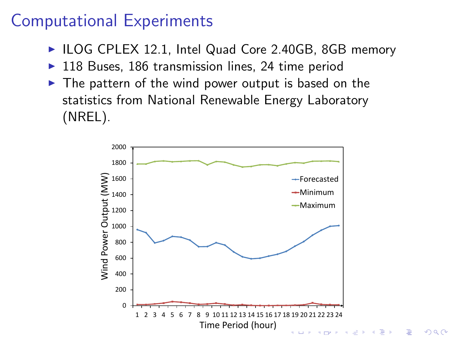### Computational Experiments

- ► ILOG CPLEX 12.1, Intel Quad Core 2.40GB, 8GB memory
- $\triangleright$  118 Buses, 186 transmission lines, 24 time period
- $\blacktriangleright$  The pattern of the wind power output is based on the statistics from National Renewable Energy Laboratory (NREL).



B

 $2Q$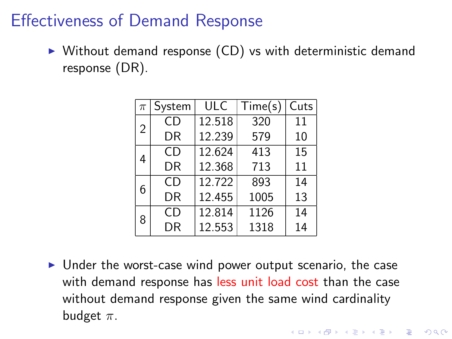### Effectiveness of Demand Response

 $\triangleright$  Without demand response (CD) vs with deterministic demand response (DR).

| $\pi$ | System | ULC    | Time(s) | Cuts |
|-------|--------|--------|---------|------|
| 2     | CD     | 12.518 | 320     | 11   |
|       | DR     | 12.239 | 579     | 10   |
| 4     | CD.    | 12.624 | 413     | 15   |
|       | DR     | 12.368 | 713     | 11   |
| 6     | CD     | 12.722 | 893     | 14   |
|       | DR     | 12.455 | 1005    | 13   |
| 8     | CD     | 12.814 | 1126    | 14   |
|       | DR     | 12.553 | 1318    | 14   |

 $\triangleright$  Under the worst-case wind power output scenario, the case with demand response has less unit load cost than the case without demand response given the same wind cardinality budget  $\pi$ .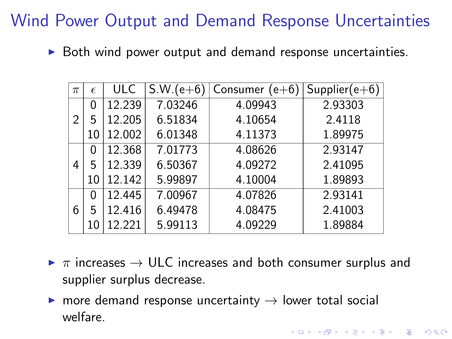# Wind Power Output and Demand Response Uncertainties

 $\triangleright$  Both wind power output and demand response uncertainties.

| $\pi$ | $\epsilon$ | <b>ULC</b> | $S.W.(e+6)$ | Consumer<br>$(e+6)$ | $Supplier(e+6)$ |
|-------|------------|------------|-------------|---------------------|-----------------|
|       | 0          | 12.239     | 7.03246     | 4.09943             | 2.93303         |
| 2     | 5          | 12.205     | 6.51834     | 4.10654             | 2.4118          |
|       | 10         | 12.002     | 6.01348     | 4.11373             | 1.89975         |
|       | 0          | 12.368     | 7.01773     | 4.08626             | 2.93147         |
| 4     | 5          | 12.339     | 6.50367     | 4.09272             | 2.41095         |
|       | 10         | 12.142     | 5.99897     | 4.10004             | 1.89893         |
|       | 0          | 12.445     | 7.00967     | 4.07826             | 2.93141         |
| 6     | 5          | 12.416     | 6.49478     | 4.08475             | 2.41003         |
|       | 10         | 12.221     | 5.99113     | 4.09229             | 1.89884         |

 $\triangleright \pi$  increases  $\rightarrow$  ULC increases and both consumer surplus and supplier surplus decrease.

KID KA KERKER KID KO

 $\triangleright$  more demand response uncertainty  $\rightarrow$  lower total social welfare.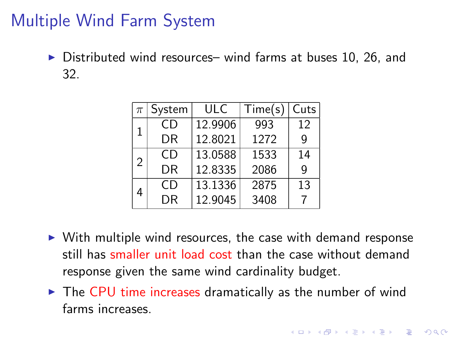## Multiple Wind Farm System

 $\triangleright$  Distributed wind resources– wind farms at buses 10, 26, and 32.

| $\pi$ | System | <b>ULC</b> | Time(s) | Cuts |
|-------|--------|------------|---------|------|
| 1     | CD.    | 12.9906    | 993     | 12   |
|       | DR     | 12.8021    | 1272    | q    |
| 2     | CD     | 13.0588    | 1533    | 14   |
|       | DR     | 12.8335    | 2086    | g    |
| 4     | CD.    | 13.1336    | 2875    | 13   |
|       | DR     | 12.9045    | 3408    |      |

- $\triangleright$  With multiple wind resources, the case with demand response still has smaller unit load cost than the case without demand response given the same wind cardinality budget.
- $\triangleright$  The CPU time increases dramatically as the number of wind farms increases.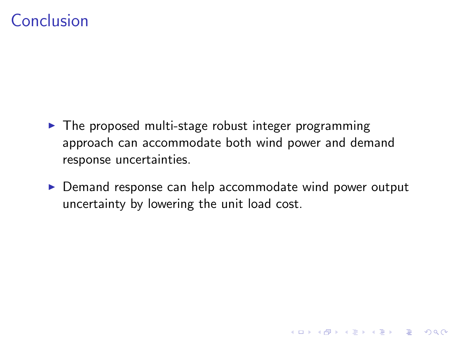### Conclusion

- $\blacktriangleright$  The proposed multi-stage robust integer programming approach can accommodate both wind power and demand response uncertainties.
- ▶ Demand response can help accommodate wind power output uncertainty by lowering the unit load cost.

K ロ ▶ K @ ▶ K 할 > K 할 > 1 할 > 1 이익어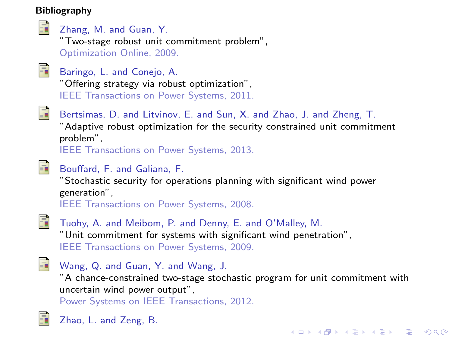#### Bibliography



#### Zhang, M. and Guan, Y.

"Two-stage robust unit commitment problem", Optimization Online, 2009.



#### Baringo, L. and Conejo, A.

"Offering strategy via robust optimization", IEEE Transactions on Power Systems, 2011.



#### Bertsimas, D. and Litvinov, E. and Sun, X. and Zhao, J. and Zheng, T.

"Adaptive robust optimization for the security constrained unit commitment problem",

IEEE Transactions on Power Systems, 2013.

<span id="page-43-0"></span>

#### Bouffard, F. and Galiana, F.

"Stochastic security for operations planning with significant wind power generation", IEEE Transactions on Power Systems, 2008.



Tuohy, A. and Meibom, P. and Denny, E. and O'Malley, M. "Unit commitment for systems with significant wind penetration", IEEE Transactions on Power Systems, 2009.

<span id="page-43-1"></span>

#### Wang, Q. and Guan, Y. and Wang, J.

"A chance-constrained two-stage stochastic program for unit commitment with uncertain wind power output",

**KORK ERKER ADE YOUR** 

Power Systems on IEEE Transactions, 2012.

<span id="page-43-2"></span>

Zhao, L. and Zeng, B.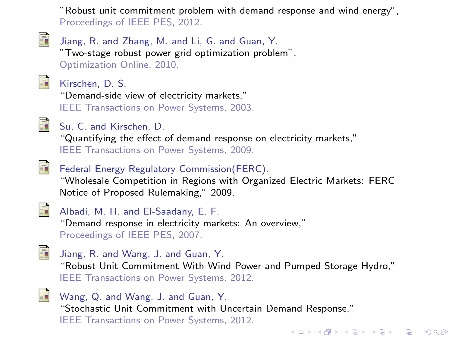"Robust unit commitment problem with demand response and wind energy", Proceedings of IEEE PES, 2012.



Jiang, R. and Zhang, M. and Li, G. and Guan, Y. "Two-stage robust power grid optimization problem", Optimization Online, 2010.



Kirschen, D. S.

"Demand-side view of electricity markets," IEEE Transactions on Power Systems, 2003.



Su, C. and Kirschen, D. "Quantifying the effect of demand response on electricity markets," IEEE Transactions on Power Systems, 2009.



#### Federal Energy Regulatory Commission(FERC).

"Wholesale Competition in Regions with Organized Electric Markets: FERC Notice of Proposed Rulemaking," 2009.



#### Albadi, M. H. and El-Saadany, E. F.

"Demand response in electricity markets: An overview," Proceedings of IEEE PES, 2007.

<span id="page-44-0"></span>

Jiang, R. and Wang, J. and Guan, Y. "Robust Unit Commitment With Wind Power and Pumped Storage Hydro," IEEE Transactions on Power Systems, 2012.

**KOD KARD KED KED E VOOR** 



Wang, Q. and Wang, J. and Guan, Y. "Stochastic Unit Commitment with Uncertain Demand Response," IEEE Transactions on Power Systems, 2012.